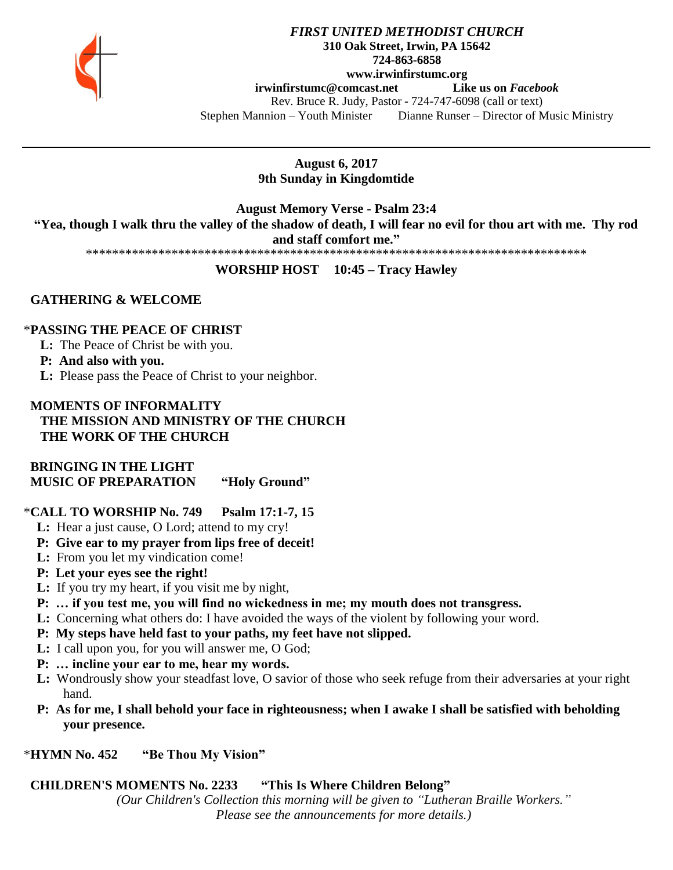

# *FIRST UNITED METHODIST CHURCH* **310 Oak Street, Irwin, PA 15642 724-863-6858 www.irwinfirstumc.org [irwinfirstumc@comcast.net](mailto:irwinfirstumc@comcast.net) Like us on** *Facebook* Rev. Bruce R. Judy, Pastor - 724-747-6098 (call or text) Stephen Mannion – Youth Minister Dianne Runser – Director of Music Ministry

**August 6, 2017 9th Sunday in Kingdomtide**

**August Memory Verse - Psalm 23:4 "Yea, though I walk thru the valley of the shadow of death, I will fear no evil for thou art with me. Thy rod** 

**and staff comfort me."**

\*\*\*\*\*\*\*\*\*\*\*\*\*\*\*\*\*\*\*\*\*\*\*\*\*\*\*\*\*\*\*\*\*\*\*\*\*\*\*\*\*\*\*\*\*\*\*\*\*\*\*\*\*\*\*\*\*\*\*\*\*\*\*\*\*\*\*\*\*\*\*\*\*\*\*\*

# **WORSHIP HOST 10:45 – Tracy Hawley**

# **GATHERING & WELCOME**

# \***PASSING THE PEACE OF CHRIST**

**L:** The Peace of Christ be with you.

**P: And also with you.**

**L:** Please pass the Peace of Christ to your neighbor.

# **MOMENTS OF INFORMALITY THE MISSION AND MINISTRY OF THE CHURCH THE WORK OF THE CHURCH**

 **BRINGING IN THE LIGHT MUSIC OF PREPARATION "Holy Ground"**

# \***CALL TO WORSHIP No. 749 Psalm 17:1-7, 15**

- **L:** Hear a just cause, O Lord; attend to my cry!
- **P: Give ear to my prayer from lips free of deceit!**
- **L:** From you let my vindication come!
- **P: Let your eyes see the right!**
- **L:** If you try my heart, if you visit me by night,
- **P: … if you test me, you will find no wickedness in me; my mouth does not transgress.**
- **L:** Concerning what others do: I have avoided the ways of the violent by following your word.
- **P: My steps have held fast to your paths, my feet have not slipped.**
- **L:** I call upon you, for you will answer me, O God;
- **P: … incline your ear to me, hear my words.**
- **L:** Wondrously show your steadfast love, O savior of those who seek refuge from their adversaries at your right hand.
- **P: As for me, I shall behold your face in righteousness; when I awake I shall be satisfied with beholding your presence.**
- \***HYMN No. 452 "Be Thou My Vision"**

# **CHILDREN'S MOMENTS No. 2233 "This Is Where Children Belong"**

*(Our Children's Collection this morning will be given to "Lutheran Braille Workers." Please see the announcements for more details.)*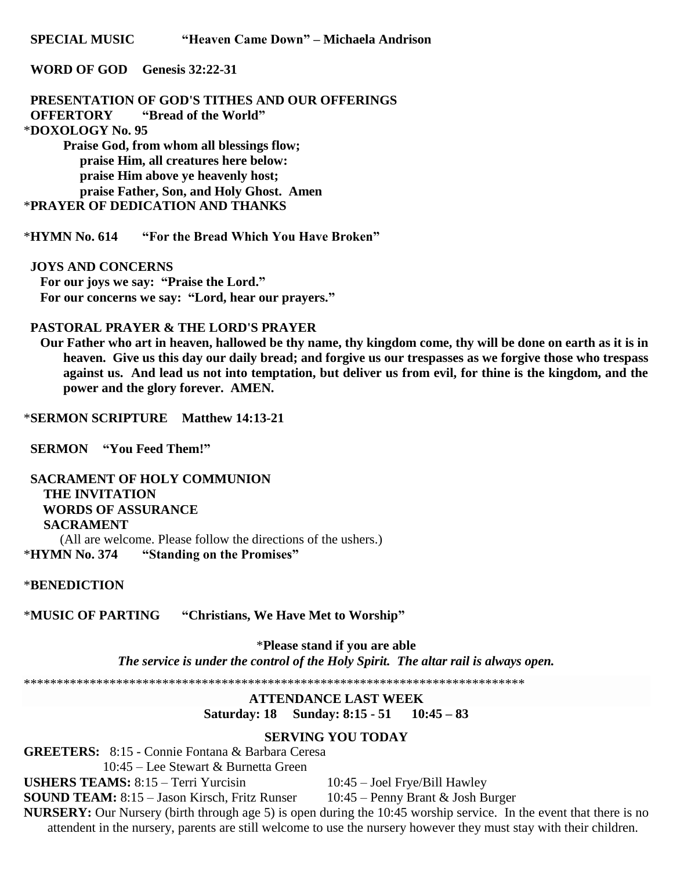**SPECIAL MUSIC** "Heaven Came Down" – Michaela Andrison

## WORD OF GOD Genesis 32:22-31

PRESENTATION OF GOD'S TITHES AND OUR OFFERINGS **OFFERTORY** "Bread of the World" \*DOXOLOGY No. 95 Praise God, from whom all blessings flow; praise Him, all creatures here below:

praise Him above ye heavenly host; praise Father, Son, and Holy Ghost. Amen \*PRAYER OF DEDICATION AND THANKS

\*HYMN No. 614 "For the Bread Which You Have Broken"

## **JOYS AND CONCERNS**

For our joys we say: "Praise the Lord." For our concerns we say: "Lord, hear our prayers."

## **PASTORAL PRAYER & THE LORD'S PRAYER**

Our Father who art in heaven, hallowed be thy name, thy kingdom come, thy will be done on earth as it is in heaven. Give us this day our daily bread; and forgive us our trespasses as we forgive those who trespass against us. And lead us not into temptation, but deliver us from evil, for thine is the kingdom, and the power and the glory forever. AMEN.

\*SERMON SCRIPTURE Matthew 14:13-21

**SERMON** "You Feed Them!"

**SACRAMENT OF HOLY COMMUNION THE INVITATION WORDS OF ASSURANCE SACRAMENT** (All are welcome. Please follow the directions of the ushers.) "Standing on the Promises" **\*HYMN No. 374** 

## \*BENEDICTION

\*MUSIC OF PARTING "Christians, We Have Met to Worship"

> \*Please stand if you are able The service is under the control of the Holy Spirit. The altar rail is always open.

**ATTENDANCE LAST WEEK** Saturday: 18 Sunday: 8:15 - 51 10:45 - 83

## **SERVING YOU TODAY**

**GREETERS:** 8:15 - Connie Fontana & Barbara Ceresa

10:45 – Lee Stewart & Burnetta Green **USHERS TEAMS:** 8:15 – Terri Yurcisin

10:45 - Joel Frye/Bill Hawley

10:45 – Penny Brant & Josh Burger **SOUND TEAM:** 8:15 - Jason Kirsch, Fritz Runser

NURSERY: Our Nursery (birth through age 5) is open during the 10:45 worship service. In the event that there is no attendent in the nursery, parents are still welcome to use the nursery however they must stay with their children.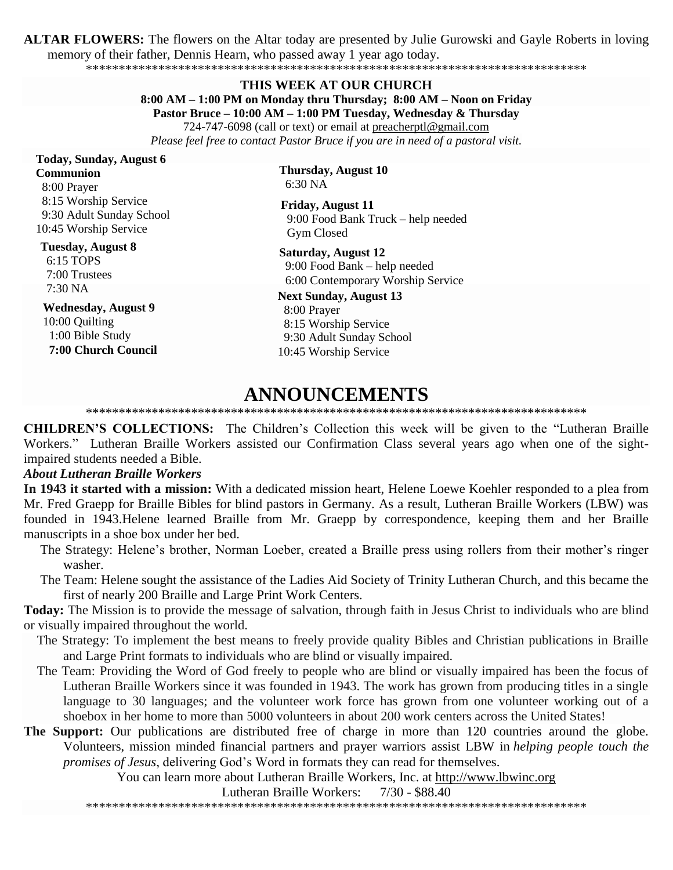**ALTAR FLOWERS:** The flowers on the Altar today are presented by Julie Gurowski and Gayle Roberts in loving memory of their father, Dennis Hearn, who passed away 1 year ago today.

\*\*\*\*\*\*\*\*\*\*\*\*\*\*\*\*\*\*\*\*\*\*\*\*\*\*\*\*\*\*\*\*\*\*\*\*\*\*\*\*\*\*\*\*\*\*\*\*\*\*\*\*\*\*\*\*\*\*\*\*\*\*\*\*\*\*\*\*\*\*\*\*\*\*\*\*

#### **THIS WEEK AT OUR CHURCH**

**8:00 AM – 1:00 PM on Monday thru Thursday; 8:00 AM – Noon on Friday**

**Pastor Bruce – 10:00 AM – 1:00 PM Tuesday, Wednesday & Thursday**

724-747-6098 (call or text) or email at [preacherptl@gmail.com](mailto:preacherptl@gmail.com) *Please feel free to contact Pastor Bruce if you are in need of a pastoral visit.*

# **Today, Sunday, August 6**

**Communion** 8:00 Prayer 8:15 Worship Service 9:30 Adult Sunday School 10:45 Worship Service

## **Tuesday, August 8**

 6:15 TOPS 7:00 Trustees 7:30 NA

## **Wednesday, August 9** 10:00 Quilting 1:00 Bible Study  **7:00 Church Council**

**Thursday, August 10** 6:30 NA

**Friday, August 11** 9:00 Food Bank Truck – help needed Gym Closed

**Saturday, August 12** 9:00 Food Bank – help needed 6:00 Contemporary Worship Service

#### **Next Sunday, August 13** 8:00 Prayer

 8:15 Worship Service 9:30 Adult Sunday School 10:45 Worship Service

# **ANNOUNCEMENTS**

## \*\*\*\*\*\*\*\*\*\*\*\*\*\*\*\*\*\*\*\*\*\*\*\*\*\*\*\*\*\*\*\*\*\*\*\*\*\*\*\*\*\*\*\*\*\*\*\*\*\*\*\*\*\*\*\*\*\*\*\*\*\*\*\*\*\*\*\*\*\*\*\*\*\*\*\*

**CHILDREN'S COLLECTIONS:** The Children's Collection this week will be given to the "Lutheran Braille Workers." Lutheran Braille Workers assisted our Confirmation Class several years ago when one of the sightimpaired students needed a Bible.

# *About Lutheran Braille Workers*

**In 1943 it started with a mission:** With a dedicated mission heart, Helene Loewe Koehler responded to a plea from Mr. Fred Graepp for Braille Bibles for blind pastors in Germany. As a result, Lutheran Braille Workers (LBW) was founded in 1943.Helene learned Braille from Mr. Graepp by correspondence, keeping them and her Braille manuscripts in a shoe box under her bed.

- The Strategy: Helene's brother, Norman Loeber, created a Braille press using rollers from their mother's ringer washer.
- The Team: Helene sought the assistance of the Ladies Aid Society of Trinity Lutheran Church, and this became the first of nearly 200 Braille and Large Print Work Centers.

**Today:** The Mission is to provide the message of salvation, through faith in Jesus Christ to individuals who are blind or visually impaired throughout the world.

- The Strategy: To implement the best means to freely provide quality Bibles and Christian publications in Braille and Large Print formats to individuals who are blind or visually impaired.
- The Team: Providing the Word of God freely to people who are blind or visually impaired has been the focus of Lutheran Braille Workers since it was founded in 1943. The work has grown from producing titles in a single language to 30 languages; and the volunteer work force has grown from one volunteer working out of a shoebox in her home to more than 5000 volunteers in about 200 work centers across the United States!
- **The Support:** Our publications are distributed free of charge in more than 120 countries around the globe. Volunteers, mission minded financial partners and prayer warriors assist LBW in *helping people touch the promises of Jesus*, delivering God's Word in formats they can read for themselves.

You can learn more about Lutheran Braille Workers, Inc. at [http://www.lbwinc.org](http://www.lbwinc.org/)

Lutheran Braille Workers: 7/30 - \$88.40

\*\*\*\*\*\*\*\*\*\*\*\*\*\*\*\*\*\*\*\*\*\*\*\*\*\*\*\*\*\*\*\*\*\*\*\*\*\*\*\*\*\*\*\*\*\*\*\*\*\*\*\*\*\*\*\*\*\*\*\*\*\*\*\*\*\*\*\*\*\*\*\*\*\*\*\*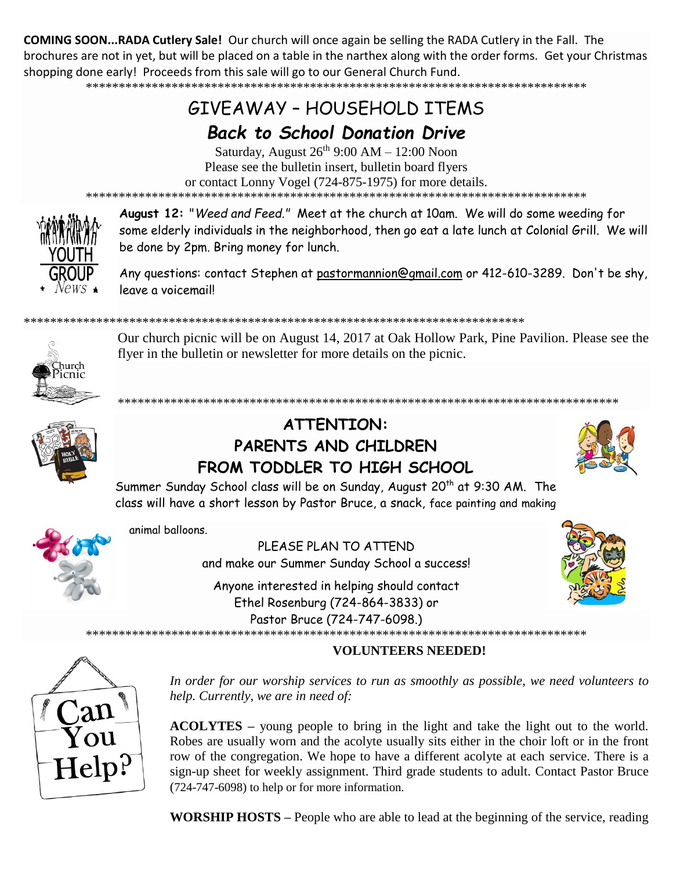**COMING SOON...RADA Cutlery Sale!** Our church will once again be selling the RADA Cutlery in the Fall. The brochures are not in yet, but will be placed on a table in the narthex along with the order forms. Get your Christmas shopping done early! Proceeds from this sale will go to our General Church Fund.

\*\*\*\*\*\*\*\*\*\*\*\*\*\*\*\*\*\*\*\*\*\*\*\*\*\*\*\*\*\*\*\*\*\*\*\*\*\*\*\*\*\*\*\*\*\*\*\*\*\*\*\*\*\*\*\*\*\*\*\*\*\*\*\*\*\*\*\*\*\*\*\*\*\*\*\*

# GIVEAWAY – HOUSEHOLD ITEMS

# *Back to School Donation Drive*

Saturday, August  $26^{th}$  9:00 AM – 12:00 Noon Please see the bulletin insert, bulletin board flyers or contact Lonny Vogel (724-875-1975) for more details. \*\*\*\*\*\*\*\*\*\*\*\*\*\*\*\*\*\*\*\*\*\*\*\*\*\*\*\*\*\*\*\*\*\*\*\*\*\*\*\*\*\*\*\*\*\*\*\*\*\*\*\*\*\*\*\*\*\*\*\*\*\*\*\*\*\*\*\*\*\*\*\*\*\*\*\*



**August 12:** "*Weed and Feed."* Meet at the church at 10am. We will do some weeding for some elderly individuals in the neighborhood, then go eat a late lunch at Colonial Grill. We will be done by 2pm. Bring money for lunch.

Any questions: contact Stephen at [pastormannion@gmail.com](javascript:window.top.ZmObjectManager.__doClickObject(document.getElementById(%22OBJ_PREFIX_DWT2566_com_zimbra_email%22));) or 412-610-3289. Don't be shy, leave a voicemail!

## \*\*\*\*\*\*\*\*\*\*\*\*\*\*\*\*\*\*\*\*\*\*\*\*\*\*\*\*\*\*\*\*\*\*\*\*\*\*\*\*\*\*\*\*\*\*\*\*\*\*\*\*\*\*\*\*\*\*\*\*\*\*\*\*\*\*\*\*\*\*\*\*\*\*\*\*

Our church picnic will be on August 14, 2017 at Oak Hollow Park, Pine Pavilion. Please see the flyer in the bulletin or newsletter for more details on the picnic.

\*\*\*\*\*\*\*\*\*\*\*\*\*\*\*\*\*\*\*\*\*\*\*\*\*\*\*\*\*\*\*\*\*\*\*\*\*\*\*\*\*\*\*\*\*\*\*\*\*\*\*\*\*\*\*\*\*\*\*\*\*\*\*\*\*\*\*\*\*\*\*\*\*\*\*\*

uurch

# **ATTENTION: PARENTS AND CHILDREN FROM TODDLER TO HIGH SCHOOL**



Summer Sunday School class will be on Sunday, August 20<sup>th</sup> at 9:30 AM. The class will have a short lesson by Pastor Bruce, a snack, face painting and making



animal balloons.

PLEASE PLAN TO ATTEND and make our Summer Sunday School a success!

Anyone interested in helping should contact Ethel Rosenburg (724-864-3833) or Pastor Bruce (724-747-6098.) \*\*\*\*\*\*\*\*\*\*\*\*\*\*\*\*\*\*\*\*\*\*\*\*\*\*\*\*\*\*\*\*\*\*\*\*\*\*\*\*\*\*\*\*\*\*\*\*\*\*\*\*\*\*\*\*\*\*\*\*\*\*\*\*\*\*\*\*\*\*\*\*\*\*\*\*



 $\mathrm{Help}{}^{p}$ 

*In order for our worship services to run as smoothly as possible, we need volunteers to help. Currently, we are in need of:*

**VOLUNTEERS NEEDED!**

**ACOLYTES –** young people to bring in the light and take the light out to the world. Robes are usually worn and the acolyte usually sits either in the choir loft or in the front row of the congregation. We hope to have a different acolyte at each service. There is a sign-up sheet for weekly assignment. Third grade students to adult. Contact Pastor Bruce (724-747-6098) to help or for more information.

**WORSHIP HOSTS –** People who are able to lead at the beginning of the service, reading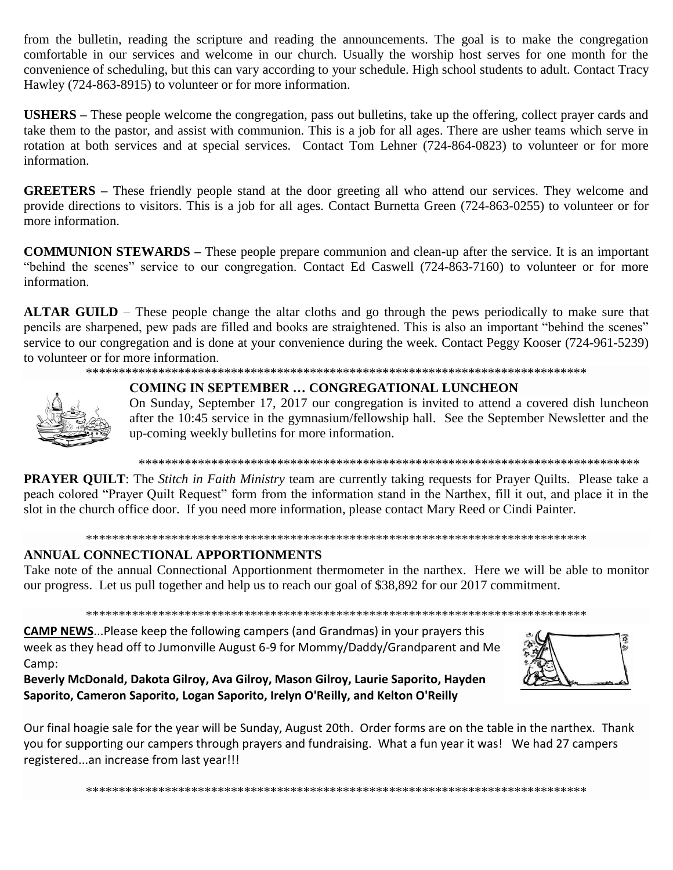from the bulletin, reading the scripture and reading the announcements. The goal is to make the congregation comfortable in our services and welcome in our church. Usually the worship host serves for one month for the convenience of scheduling, but this can vary according to your schedule. High school students to adult. Contact Tracy Hawley (724-863-8915) to volunteer or for more information.

**USHERS –** These people welcome the congregation, pass out bulletins, take up the offering, collect prayer cards and take them to the pastor, and assist with communion. This is a job for all ages. There are usher teams which serve in rotation at both services and at special services. Contact Tom Lehner (724-864-0823) to volunteer or for more information.

**GREETERS –** These friendly people stand at the door greeting all who attend our services. They welcome and provide directions to visitors. This is a job for all ages. Contact Burnetta Green (724-863-0255) to volunteer or for more information.

**COMMUNION STEWARDS –** These people prepare communion and clean-up after the service. It is an important "behind the scenes" service to our congregation. Contact Ed Caswell (724-863-7160) to volunteer or for more information.

**ALTAR GUILD** – These people change the altar cloths and go through the pews periodically to make sure that pencils are sharpened, pew pads are filled and books are straightened. This is also an important "behind the scenes" service to our congregation and is done at your convenience during the week. Contact Peggy Kooser (724-961-5239) to volunteer or for more information.

## \*\*\*\*\*\*\*\*\*\*\*\*\*\*\*\*\*\*\*\*\*\*\*\*\*\*\*\*\*\*\*\*\*\*\*\*\*\*\*\*\*\*\*\*\*\*\*\*\*\*\*\*\*\*\*\*\*\*\*\*\*\*\*\*\*\*\*\*\*\*\*\*\*\*\*\*



# **COMING IN SEPTEMBER … CONGREGATIONAL LUNCHEON**

On Sunday, September 17, 2017 our congregation is invited to attend a covered dish luncheon after the 10:45 service in the gymnasium/fellowship hall. See the September Newsletter and the up-coming weekly bulletins for more information.

## \*\*\*\*\*\*\*\*\*\*\*\*\*\*\*\*\*\*\*\*\*\*\*\*\*\*\*\*\*\*\*\*\*\*\*\*\*\*\*\*\*\*\*\*\*\*\*\*\*\*\*\*\*\*\*\*\*\*\*\*\*\*\*\*\*\*\*\*\*\*\*\*\*\*\*\*

**PRAYER QUILT**: The *Stitch in Faith Ministry* team are currently taking requests for Prayer Quilts. Please take a peach colored "Prayer Quilt Request" form from the information stand in the Narthex, fill it out, and place it in the slot in the church office door. If you need more information, please contact Mary Reed or Cindi Painter.

## \*\*\*\*\*\*\*\*\*\*\*\*\*\*\*\*\*\*\*\*\*\*\*\*\*\*\*\*\*\*\*\*\*\*\*\*\*\*\*\*\*\*\*\*\*\*\*\*\*\*\*\*\*\*\*\*\*\*\*\*\*\*\*\*\*\*\*\*\*\*\*\*\*\*\*\*

# **ANNUAL CONNECTIONAL APPORTIONMENTS**

Take note of the annual Connectional Apportionment thermometer in the narthex. Here we will be able to monitor our progress. Let us pull together and help us to reach our goal of \$38,892 for our 2017 commitment.

\*\*\*\*\*\*\*\*\*\*\*\*\*\*\*\*\*\*\*\*\*\*\*\*\*\*\*\*\*\*\*\*\*\*\*\*\*\*\*\*\*\*\*\*\*\*\*\*\*\*\*\*\*\*\*\*\*\*\*\*\*\*\*\*\*\*\*\*\*\*\*\*\*\*\*\*

**CAMP NEWS**...Please keep the following campers (and Grandmas) in your prayers this week as they head off to Jumonville August 6-9 for Mommy/Daddy/Grandparent and Me Camp:

**Beverly McDonald, Dakota Gilroy, Ava Gilroy, Mason Gilroy, Laurie Saporito, Hayden Saporito, Cameron Saporito, Logan Saporito, Irelyn O'Reilly, and Kelton O'Reilly**



Our final hoagie sale for the year will be Sunday, August 20th. Order forms are on the table in the narthex. Thank you for supporting our campers through prayers and fundraising. What a fun year it was! We had 27 campers registered...an increase from last year!!!